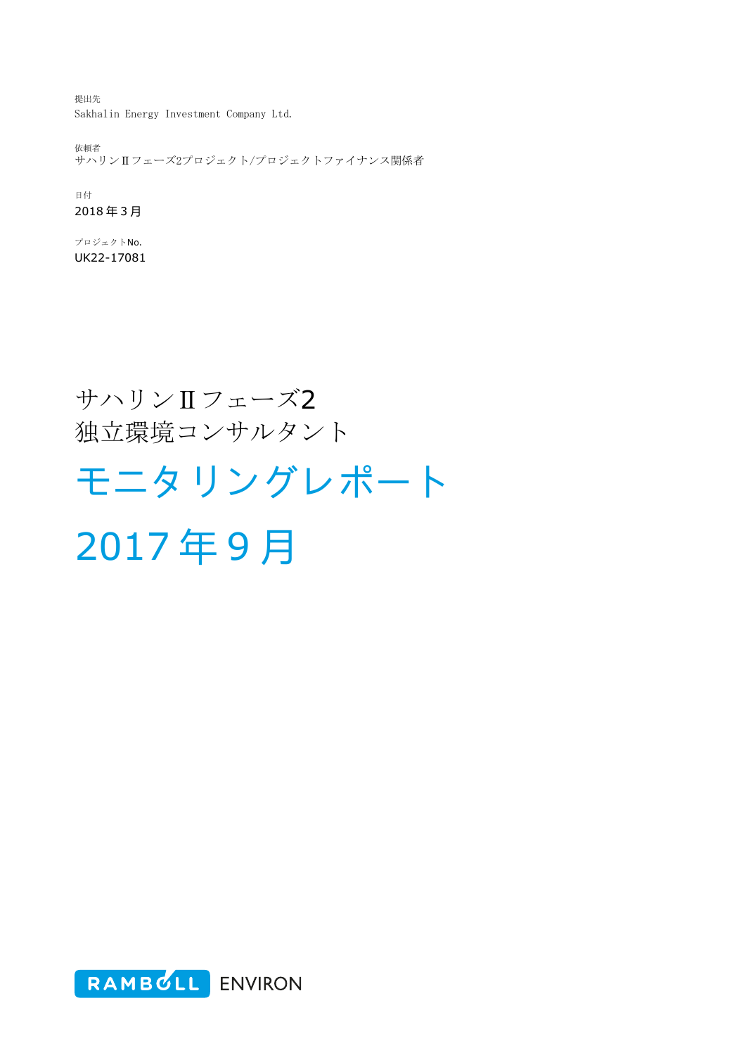提出先 Sakhalin Energy Investment Company Ltd.

依頼者 。<br>サハリンⅡフェーズ2プロジェクト/プロジェクトファイナンス関係者

日付 2018 年 3 月

プロジェクトNo. UK22-17081

## サハリンⅡフェーズ2 独立環境コンサルタント

# モニタリングレポート

2017 年 9 月

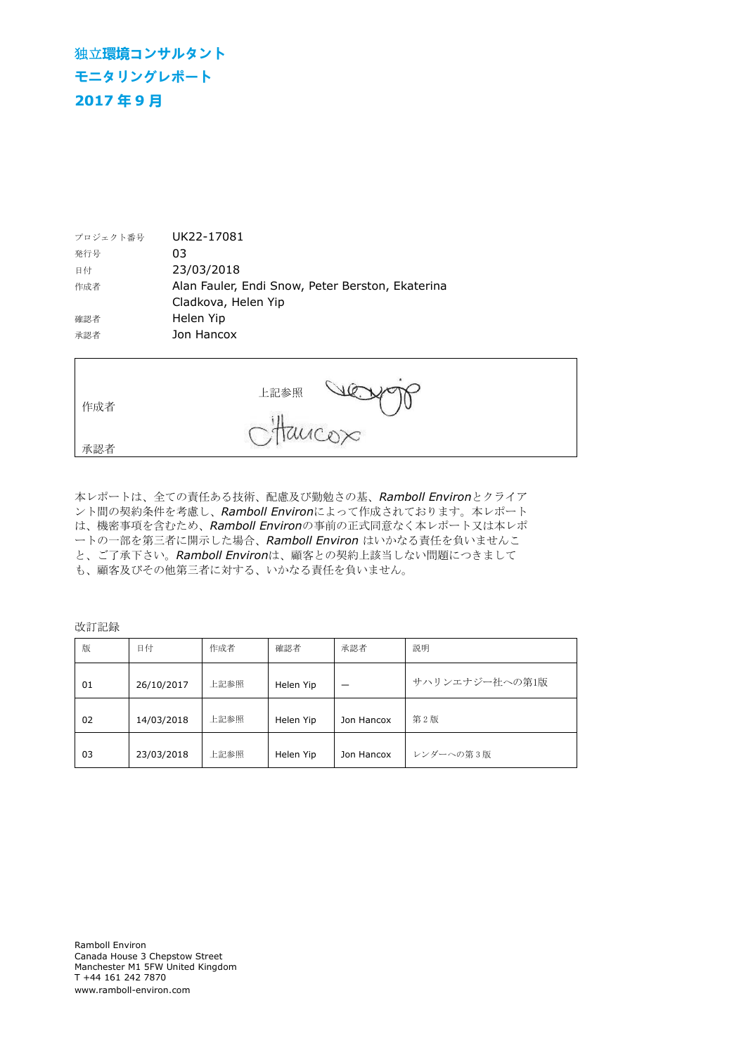## 独立**環境コンサルタント モニタリングレポート 2017 年 9 月**

| プロジェクト番号 | UK22-17081                                       |
|----------|--------------------------------------------------|
| 発行号      | 03                                               |
| 日付       | 23/03/2018                                       |
| 作成者      | Alan Fauler, Endi Snow, Peter Berston, Ekaterina |
|          | Cladkova, Helen Yip                              |
| 確認者      | Helen Yip                                        |
| 承認者      | Jon Hancox                                       |

| 作成者 | 上記参照     |  |
|-----|----------|--|
| 承認者 | Ottancox |  |

本レポートは、全ての責任ある技術、配慮及び勤勉さの基、*Ramboll Environ*とクライア ント間の契約条件を考慮し、*Ramboll Environ*によって作成されております。本レポート は、機密事項を含むため、*Ramboll Environ*の事前の正式同意なく本レポート又は本レポ ートの一部を第三者に開示した場合、*Ramboll Environ* はいかなる責任を負いませんこ と、ご了承下さい。*Ramboll Environ*は、顧客との契約上該当しない問題につきまして も、顧客及びその他第三者に対する、いかなる責任を負いません。

改訂記録

| 版  | 日付         | 作成者  | 確認者       | 承認者        | 説明             |
|----|------------|------|-----------|------------|----------------|
| 01 | 26/10/2017 | 上記参照 | Helen Yip |            | サハリンエナジー社への第1版 |
| 02 | 14/03/2018 | 上記参照 | Helen Yip | Jon Hancox | 第2版            |
| 03 | 23/03/2018 | 上記参照 | Helen Yip | Jon Hancox | レンダーへの第3版      |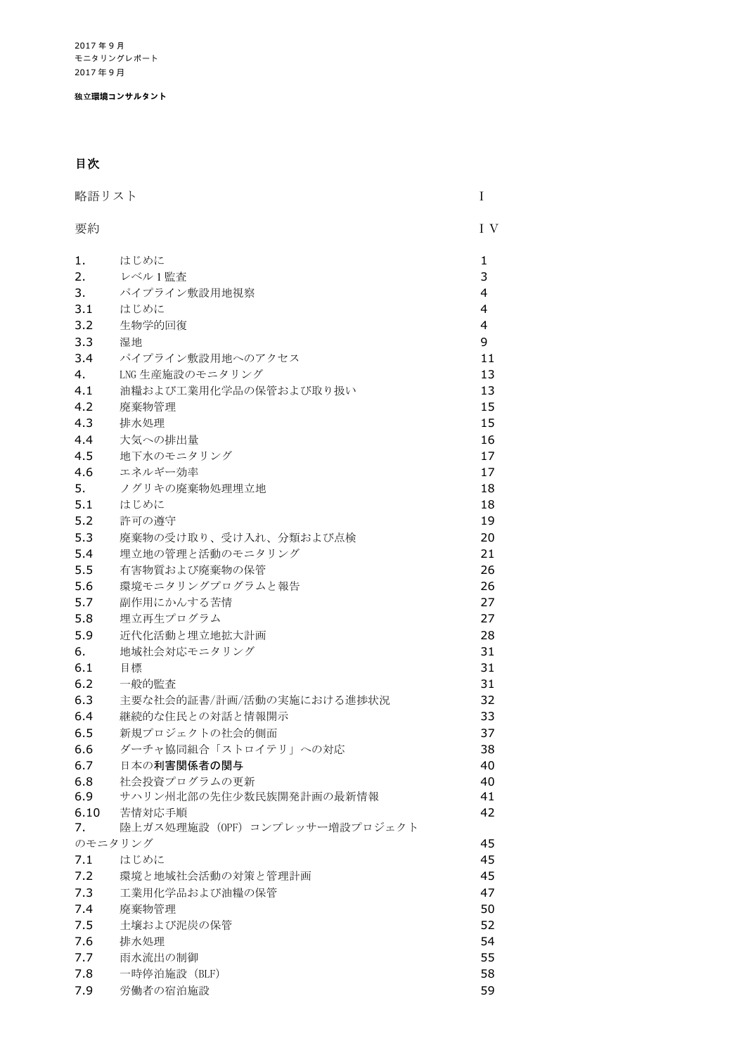独立**環境コンサルタント**

## 目次

| 要約<br>I V<br>1.<br>はじめに<br>1<br>3<br>2.<br>レベル1監査<br>3.<br>パイプライン敷設用地視察<br>4<br>3.1<br>4<br>はじめに<br>3.2<br>4<br>生物学的回復<br>9<br>3.3<br>湿地<br>3.4<br>パイプライン敷設用地へのアクセス<br>11<br>LNG 生産施設のモニタリング<br>4.<br>13<br>4.1<br>油糧および工業用化学品の保管および取り扱い<br>13<br>4.2<br>15<br>廃棄物管理<br>4.3<br>15<br>排水処理<br>大気への排出量<br>16<br>4.4<br>4.5<br>地下水のモニタリング<br>17<br>4.6<br>エネルギー効率<br>17<br>5.<br>18<br>ノグリキの廃棄物処理埋立地<br>5.1<br>はじめに<br>18<br>5.2<br>許可の導守<br>19<br>5.3<br>20<br>廃棄物の受け取り、受け入れ、分類および点検<br>5.4<br>埋立地の管理と活動のモニタリング<br>21<br>5.5<br>有害物質および廃棄物の保管<br>26<br>5.6<br>環境モニタリングプログラムと報告<br>26<br>5.7<br>27<br>副作用にかんする苦情<br>5.8<br>埋立再生プログラム<br>27<br>5.9<br>28<br>近代化活動と埋立地拡大計画<br>地域社会対応モニタリング<br>31<br>6.<br>6.1<br>31<br>目標<br>6.2<br>31<br>一般的監査<br>6.3<br>32<br>主要な社会的証書/計画/活動の実施における進捗状況<br>6.4<br>33<br>継続的な住民との対話と情報開示<br>6.5<br>新規プロジェクトの社会的側面<br>37<br>6.6<br>ダーチャ協同組合「ストロイテリ」への対応<br>38<br>6.7<br>日本の利害関係者の関与<br>40<br>6.8<br>社会投資プログラムの更新<br>40<br>6.9<br>サハリン州北部の先住少数民族開発計画の最新情報<br>41<br>6.10<br>42<br>苦情対応手順<br>陸上ガス処理施設 (OPF) コンプレッサー増設プロジェクト<br>7.<br>のモニタリング<br>45<br>45<br>7.1<br>はじめに<br>45<br>7.2<br>環境と地域社会活動の対策と管理計画<br>7.3<br>47<br>工業用化学品および油糧の保管<br>7.4<br>50<br>廃棄物管理<br>52<br>7.5<br>土壌および泥炭の保管<br>54<br>7.6<br>排水処理<br>55<br>7.7<br>雨水流出の制御 | 略語リスト<br>I |             |    |
|----------------------------------------------------------------------------------------------------------------------------------------------------------------------------------------------------------------------------------------------------------------------------------------------------------------------------------------------------------------------------------------------------------------------------------------------------------------------------------------------------------------------------------------------------------------------------------------------------------------------------------------------------------------------------------------------------------------------------------------------------------------------------------------------------------------------------------------------------------------------------------------------------------------------------------------------------------------------------------------------------------------------------------------------------------------------------------------------------------------------------------------------------------------------------------------------------------------------------------------------------------------|------------|-------------|----|
|                                                                                                                                                                                                                                                                                                                                                                                                                                                                                                                                                                                                                                                                                                                                                                                                                                                                                                                                                                                                                                                                                                                                                                                                                                                                |            |             |    |
|                                                                                                                                                                                                                                                                                                                                                                                                                                                                                                                                                                                                                                                                                                                                                                                                                                                                                                                                                                                                                                                                                                                                                                                                                                                                |            |             |    |
|                                                                                                                                                                                                                                                                                                                                                                                                                                                                                                                                                                                                                                                                                                                                                                                                                                                                                                                                                                                                                                                                                                                                                                                                                                                                |            |             |    |
|                                                                                                                                                                                                                                                                                                                                                                                                                                                                                                                                                                                                                                                                                                                                                                                                                                                                                                                                                                                                                                                                                                                                                                                                                                                                |            |             |    |
|                                                                                                                                                                                                                                                                                                                                                                                                                                                                                                                                                                                                                                                                                                                                                                                                                                                                                                                                                                                                                                                                                                                                                                                                                                                                |            |             |    |
|                                                                                                                                                                                                                                                                                                                                                                                                                                                                                                                                                                                                                                                                                                                                                                                                                                                                                                                                                                                                                                                                                                                                                                                                                                                                |            |             |    |
|                                                                                                                                                                                                                                                                                                                                                                                                                                                                                                                                                                                                                                                                                                                                                                                                                                                                                                                                                                                                                                                                                                                                                                                                                                                                |            |             |    |
|                                                                                                                                                                                                                                                                                                                                                                                                                                                                                                                                                                                                                                                                                                                                                                                                                                                                                                                                                                                                                                                                                                                                                                                                                                                                |            |             |    |
|                                                                                                                                                                                                                                                                                                                                                                                                                                                                                                                                                                                                                                                                                                                                                                                                                                                                                                                                                                                                                                                                                                                                                                                                                                                                |            |             |    |
|                                                                                                                                                                                                                                                                                                                                                                                                                                                                                                                                                                                                                                                                                                                                                                                                                                                                                                                                                                                                                                                                                                                                                                                                                                                                |            |             |    |
|                                                                                                                                                                                                                                                                                                                                                                                                                                                                                                                                                                                                                                                                                                                                                                                                                                                                                                                                                                                                                                                                                                                                                                                                                                                                |            |             |    |
|                                                                                                                                                                                                                                                                                                                                                                                                                                                                                                                                                                                                                                                                                                                                                                                                                                                                                                                                                                                                                                                                                                                                                                                                                                                                |            |             |    |
|                                                                                                                                                                                                                                                                                                                                                                                                                                                                                                                                                                                                                                                                                                                                                                                                                                                                                                                                                                                                                                                                                                                                                                                                                                                                |            |             |    |
|                                                                                                                                                                                                                                                                                                                                                                                                                                                                                                                                                                                                                                                                                                                                                                                                                                                                                                                                                                                                                                                                                                                                                                                                                                                                |            |             |    |
|                                                                                                                                                                                                                                                                                                                                                                                                                                                                                                                                                                                                                                                                                                                                                                                                                                                                                                                                                                                                                                                                                                                                                                                                                                                                |            |             |    |
|                                                                                                                                                                                                                                                                                                                                                                                                                                                                                                                                                                                                                                                                                                                                                                                                                                                                                                                                                                                                                                                                                                                                                                                                                                                                |            |             |    |
|                                                                                                                                                                                                                                                                                                                                                                                                                                                                                                                                                                                                                                                                                                                                                                                                                                                                                                                                                                                                                                                                                                                                                                                                                                                                |            |             |    |
|                                                                                                                                                                                                                                                                                                                                                                                                                                                                                                                                                                                                                                                                                                                                                                                                                                                                                                                                                                                                                                                                                                                                                                                                                                                                |            |             |    |
|                                                                                                                                                                                                                                                                                                                                                                                                                                                                                                                                                                                                                                                                                                                                                                                                                                                                                                                                                                                                                                                                                                                                                                                                                                                                |            |             |    |
|                                                                                                                                                                                                                                                                                                                                                                                                                                                                                                                                                                                                                                                                                                                                                                                                                                                                                                                                                                                                                                                                                                                                                                                                                                                                |            |             |    |
|                                                                                                                                                                                                                                                                                                                                                                                                                                                                                                                                                                                                                                                                                                                                                                                                                                                                                                                                                                                                                                                                                                                                                                                                                                                                |            |             |    |
|                                                                                                                                                                                                                                                                                                                                                                                                                                                                                                                                                                                                                                                                                                                                                                                                                                                                                                                                                                                                                                                                                                                                                                                                                                                                |            |             |    |
|                                                                                                                                                                                                                                                                                                                                                                                                                                                                                                                                                                                                                                                                                                                                                                                                                                                                                                                                                                                                                                                                                                                                                                                                                                                                |            |             |    |
|                                                                                                                                                                                                                                                                                                                                                                                                                                                                                                                                                                                                                                                                                                                                                                                                                                                                                                                                                                                                                                                                                                                                                                                                                                                                |            |             |    |
|                                                                                                                                                                                                                                                                                                                                                                                                                                                                                                                                                                                                                                                                                                                                                                                                                                                                                                                                                                                                                                                                                                                                                                                                                                                                |            |             |    |
|                                                                                                                                                                                                                                                                                                                                                                                                                                                                                                                                                                                                                                                                                                                                                                                                                                                                                                                                                                                                                                                                                                                                                                                                                                                                |            |             |    |
|                                                                                                                                                                                                                                                                                                                                                                                                                                                                                                                                                                                                                                                                                                                                                                                                                                                                                                                                                                                                                                                                                                                                                                                                                                                                |            |             |    |
|                                                                                                                                                                                                                                                                                                                                                                                                                                                                                                                                                                                                                                                                                                                                                                                                                                                                                                                                                                                                                                                                                                                                                                                                                                                                |            |             |    |
|                                                                                                                                                                                                                                                                                                                                                                                                                                                                                                                                                                                                                                                                                                                                                                                                                                                                                                                                                                                                                                                                                                                                                                                                                                                                |            |             |    |
|                                                                                                                                                                                                                                                                                                                                                                                                                                                                                                                                                                                                                                                                                                                                                                                                                                                                                                                                                                                                                                                                                                                                                                                                                                                                |            |             |    |
|                                                                                                                                                                                                                                                                                                                                                                                                                                                                                                                                                                                                                                                                                                                                                                                                                                                                                                                                                                                                                                                                                                                                                                                                                                                                |            |             |    |
|                                                                                                                                                                                                                                                                                                                                                                                                                                                                                                                                                                                                                                                                                                                                                                                                                                                                                                                                                                                                                                                                                                                                                                                                                                                                |            |             |    |
|                                                                                                                                                                                                                                                                                                                                                                                                                                                                                                                                                                                                                                                                                                                                                                                                                                                                                                                                                                                                                                                                                                                                                                                                                                                                |            |             |    |
|                                                                                                                                                                                                                                                                                                                                                                                                                                                                                                                                                                                                                                                                                                                                                                                                                                                                                                                                                                                                                                                                                                                                                                                                                                                                |            |             |    |
|                                                                                                                                                                                                                                                                                                                                                                                                                                                                                                                                                                                                                                                                                                                                                                                                                                                                                                                                                                                                                                                                                                                                                                                                                                                                |            |             |    |
|                                                                                                                                                                                                                                                                                                                                                                                                                                                                                                                                                                                                                                                                                                                                                                                                                                                                                                                                                                                                                                                                                                                                                                                                                                                                |            |             |    |
|                                                                                                                                                                                                                                                                                                                                                                                                                                                                                                                                                                                                                                                                                                                                                                                                                                                                                                                                                                                                                                                                                                                                                                                                                                                                |            |             |    |
|                                                                                                                                                                                                                                                                                                                                                                                                                                                                                                                                                                                                                                                                                                                                                                                                                                                                                                                                                                                                                                                                                                                                                                                                                                                                |            |             |    |
|                                                                                                                                                                                                                                                                                                                                                                                                                                                                                                                                                                                                                                                                                                                                                                                                                                                                                                                                                                                                                                                                                                                                                                                                                                                                |            |             |    |
|                                                                                                                                                                                                                                                                                                                                                                                                                                                                                                                                                                                                                                                                                                                                                                                                                                                                                                                                                                                                                                                                                                                                                                                                                                                                |            |             |    |
|                                                                                                                                                                                                                                                                                                                                                                                                                                                                                                                                                                                                                                                                                                                                                                                                                                                                                                                                                                                                                                                                                                                                                                                                                                                                |            |             |    |
|                                                                                                                                                                                                                                                                                                                                                                                                                                                                                                                                                                                                                                                                                                                                                                                                                                                                                                                                                                                                                                                                                                                                                                                                                                                                |            |             |    |
|                                                                                                                                                                                                                                                                                                                                                                                                                                                                                                                                                                                                                                                                                                                                                                                                                                                                                                                                                                                                                                                                                                                                                                                                                                                                |            |             |    |
|                                                                                                                                                                                                                                                                                                                                                                                                                                                                                                                                                                                                                                                                                                                                                                                                                                                                                                                                                                                                                                                                                                                                                                                                                                                                | 7.8        | 一時停泊施設(BLF) | 58 |
| 7.9<br>労働者の宿泊施設<br>59                                                                                                                                                                                                                                                                                                                                                                                                                                                                                                                                                                                                                                                                                                                                                                                                                                                                                                                                                                                                                                                                                                                                                                                                                                          |            |             |    |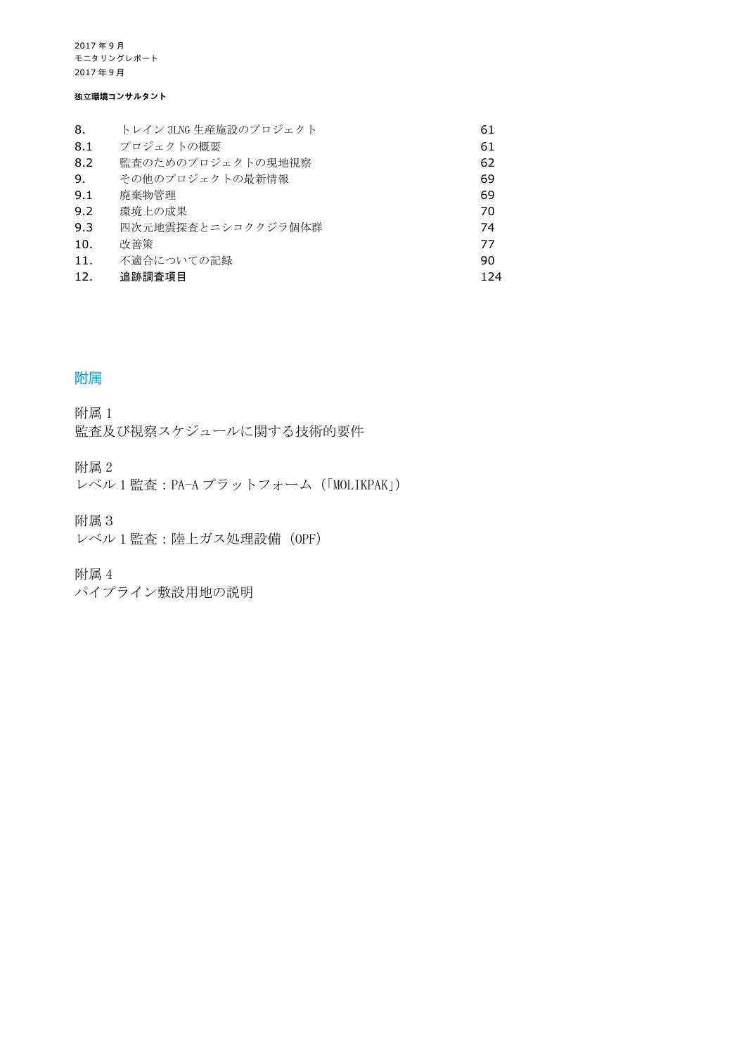#### 独立**環境コンサルタント**

| 8.  | トレイン 3LNG 生産施設のプロジェクト | 61  |
|-----|-----------------------|-----|
| 8.1 | プロジェクトの概要             | 61  |
| 8.2 | 監査のためのプロジェクトの現地視察     | 62  |
| 9.  | その他のプロジェクトの最新情報       | 69  |
| 9.1 | 廃棄物管理                 | 69  |
| 9.2 | 環境上の成果                | 70  |
| 9.3 | 四次元地震探杳とニシコククジラ個体群    | 74  |
| 10. | 改善策                   | 77  |
| 11. | 不適合についての記録            | 90  |
| 12. | 追跡調査項目                | 124 |

## 附属

附属 1 監査及び視察スケジュールに関する技術的要件

附属 2

レベル 1 監査:PA-A プラットフォーム(「MOLIKPAK」)

附属3

レベル 1 監査:陸上ガス処理設備 (OPF)

附属 4

パイプライン敷設用地の説明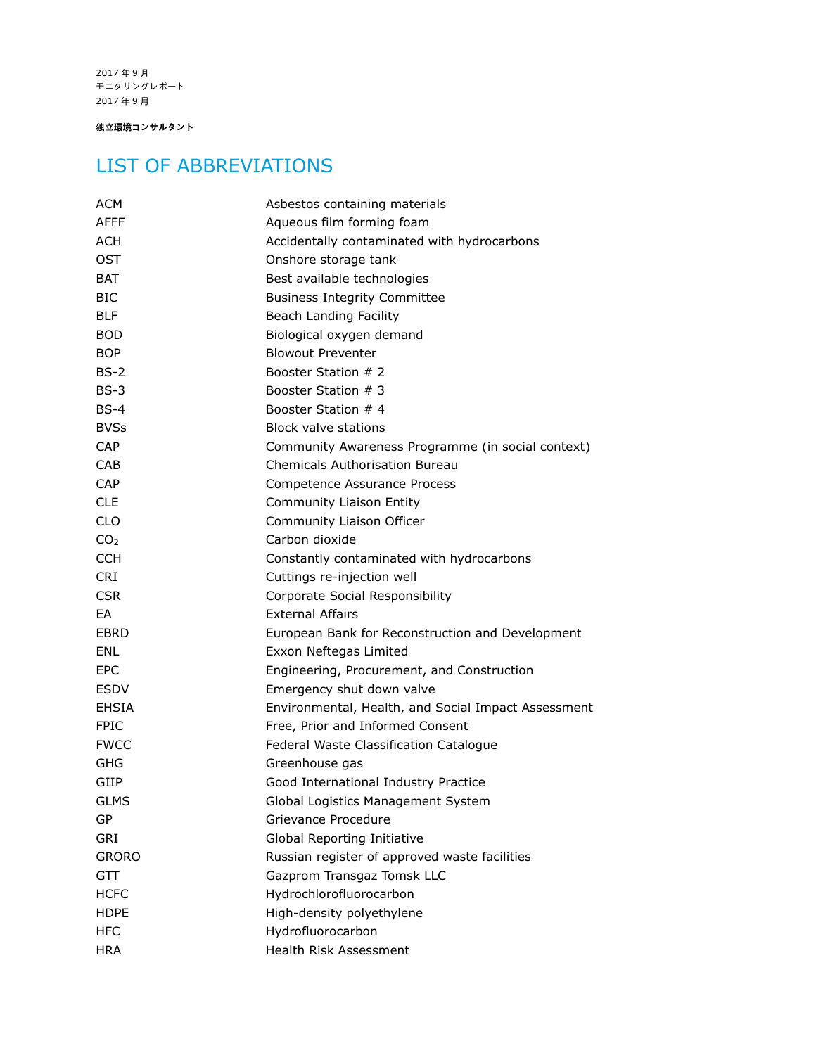独立**環境コンサルタント**

## LIST OF ABBREVIATIONS

| ACM             | Asbestos containing materials                       |  |  |
|-----------------|-----------------------------------------------------|--|--|
| AFFF            | Aqueous film forming foam                           |  |  |
| ACH             | Accidentally contaminated with hydrocarbons         |  |  |
| <b>OST</b>      | Onshore storage tank                                |  |  |
| BAT             | Best available technologies                         |  |  |
| <b>BIC</b>      | <b>Business Integrity Committee</b>                 |  |  |
| <b>BLF</b>      | Beach Landing Facility                              |  |  |
| <b>BOD</b>      | Biological oxygen demand                            |  |  |
| <b>BOP</b>      | <b>Blowout Preventer</b>                            |  |  |
| $BS-2$          | Booster Station # 2                                 |  |  |
| $BS-3$          | Booster Station # 3                                 |  |  |
| $BS-4$          | Booster Station # 4                                 |  |  |
| <b>BVSs</b>     | <b>Block valve stations</b>                         |  |  |
| <b>CAP</b>      | Community Awareness Programme (in social context)   |  |  |
| CAB             | <b>Chemicals Authorisation Bureau</b>               |  |  |
| <b>CAP</b>      | Competence Assurance Process                        |  |  |
| <b>CLE</b>      | Community Liaison Entity                            |  |  |
| <b>CLO</b>      | Community Liaison Officer                           |  |  |
| CO <sub>2</sub> | Carbon dioxide                                      |  |  |
| <b>CCH</b>      | Constantly contaminated with hydrocarbons           |  |  |
| <b>CRI</b>      | Cuttings re-injection well                          |  |  |
| <b>CSR</b>      | Corporate Social Responsibility                     |  |  |
| EA              | <b>External Affairs</b>                             |  |  |
| EBRD            | European Bank for Reconstruction and Development    |  |  |
| <b>ENL</b>      | Exxon Neftegas Limited                              |  |  |
| <b>EPC</b>      | Engineering, Procurement, and Construction          |  |  |
| <b>ESDV</b>     | Emergency shut down valve                           |  |  |
| <b>EHSIA</b>    | Environmental, Health, and Social Impact Assessment |  |  |
| <b>FPIC</b>     | Free, Prior and Informed Consent                    |  |  |
| <b>FWCC</b>     | Federal Waste Classification Catalogue              |  |  |
| GHG             | Greenhouse gas                                      |  |  |
| GIIP            | Good International Industry Practice                |  |  |
| <b>GLMS</b>     | Global Logistics Management System                  |  |  |
| GP              | Grievance Procedure                                 |  |  |
| GRI             | Global Reporting Initiative                         |  |  |
| <b>GRORO</b>    | Russian register of approved waste facilities       |  |  |
| GTT             | Gazprom Transgaz Tomsk LLC                          |  |  |
| <b>HCFC</b>     | Hydrochlorofluorocarbon                             |  |  |
| <b>HDPE</b>     | High-density polyethylene                           |  |  |
| <b>HFC</b>      | Hydrofluorocarbon                                   |  |  |
| <b>HRA</b>      | Health Risk Assessment                              |  |  |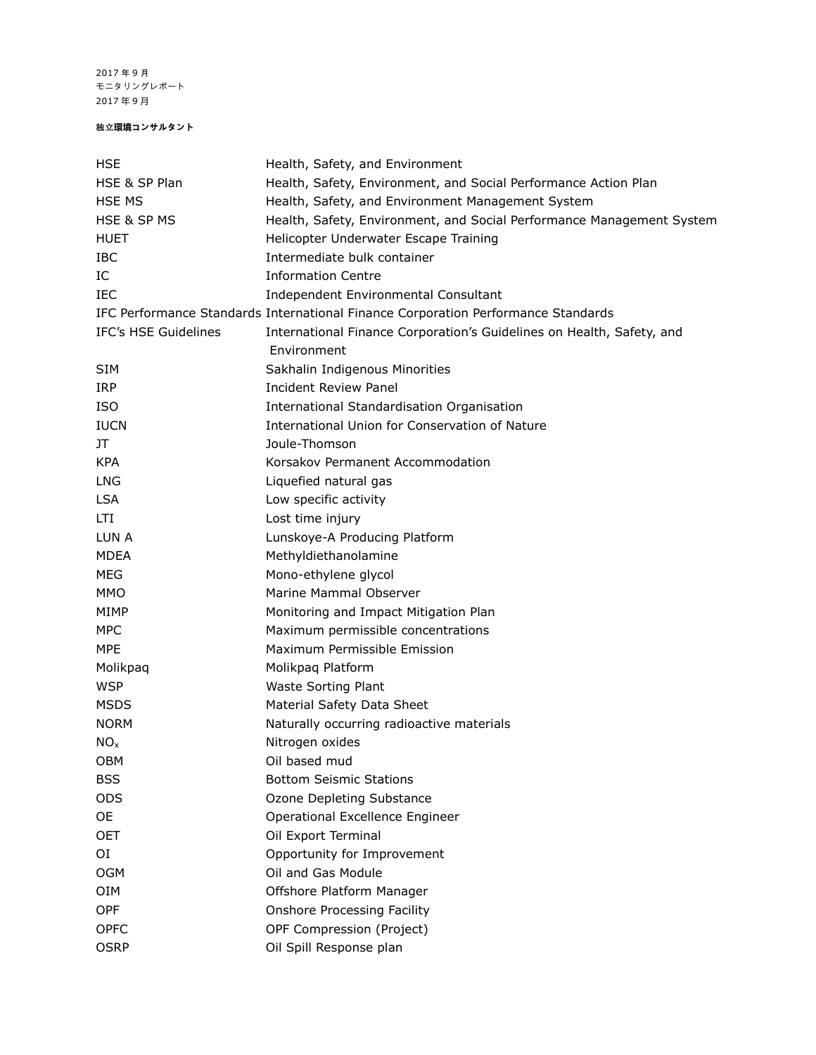#### 独立**環境コンサルタント**

| HSE                  | Health, Safety, and Environment                                                   |  |  |
|----------------------|-----------------------------------------------------------------------------------|--|--|
| HSE & SP Plan        | Health, Safety, Environment, and Social Performance Action Plan                   |  |  |
| <b>HSE MS</b>        | Health, Safety, and Environment Management System                                 |  |  |
| HSE & SP MS          | Health, Safety, Environment, and Social Performance Management System             |  |  |
| <b>HUET</b>          | Helicopter Underwater Escape Training                                             |  |  |
| IBC                  | Intermediate bulk container                                                       |  |  |
| IC                   | <b>Information Centre</b>                                                         |  |  |
| IEC                  | Independent Environmental Consultant                                              |  |  |
|                      | IFC Performance Standards International Finance Corporation Performance Standards |  |  |
| IFC's HSE Guidelines | International Finance Corporation's Guidelines on Health, Safety, and             |  |  |
|                      | Environment                                                                       |  |  |
| <b>SIM</b>           | Sakhalin Indigenous Minorities                                                    |  |  |
| <b>IRP</b>           | <b>Incident Review Panel</b>                                                      |  |  |
| <b>ISO</b>           | International Standardisation Organisation                                        |  |  |
| <b>IUCN</b>          | International Union for Conservation of Nature                                    |  |  |
| JT                   | Joule-Thomson                                                                     |  |  |
| <b>KPA</b>           | Korsakov Permanent Accommodation                                                  |  |  |
| <b>LNG</b>           | Liquefied natural gas                                                             |  |  |
| <b>LSA</b>           | Low specific activity                                                             |  |  |
| <b>LTI</b>           | Lost time injury                                                                  |  |  |
| LUN A                | Lunskoye-A Producing Platform                                                     |  |  |
| <b>MDEA</b>          | Methyldiethanolamine                                                              |  |  |
| <b>MEG</b>           | Mono-ethylene glycol                                                              |  |  |
| MMO                  | Marine Mammal Observer                                                            |  |  |
| MIMP                 | Monitoring and Impact Mitigation Plan                                             |  |  |
| <b>MPC</b>           | Maximum permissible concentrations                                                |  |  |
| <b>MPE</b>           | Maximum Permissible Emission                                                      |  |  |
| Molikpaq             | Molikpaq Platform                                                                 |  |  |
| <b>WSP</b>           | <b>Waste Sorting Plant</b>                                                        |  |  |
| <b>MSDS</b>          | Material Safety Data Sheet                                                        |  |  |
| <b>NORM</b>          | Naturally occurring radioactive materials                                         |  |  |
| NO <sub>x</sub>      | Nitrogen oxides                                                                   |  |  |
| OBM                  | Oil based mud                                                                     |  |  |
| <b>BSS</b>           | <b>Bottom Seismic Stations</b>                                                    |  |  |
| <b>ODS</b>           | Ozone Depleting Substance                                                         |  |  |
| <b>OE</b>            | Operational Excellence Engineer                                                   |  |  |
| OET                  | Oil Export Terminal                                                               |  |  |
| ΟI                   | Opportunity for Improvement                                                       |  |  |
| <b>OGM</b>           | Oil and Gas Module                                                                |  |  |
| <b>OIM</b>           | Offshore Platform Manager                                                         |  |  |
| OPF                  | <b>Onshore Processing Facility</b>                                                |  |  |
| <b>OPFC</b>          | OPF Compression (Project)                                                         |  |  |
| <b>OSRP</b>          | Oil Spill Response plan                                                           |  |  |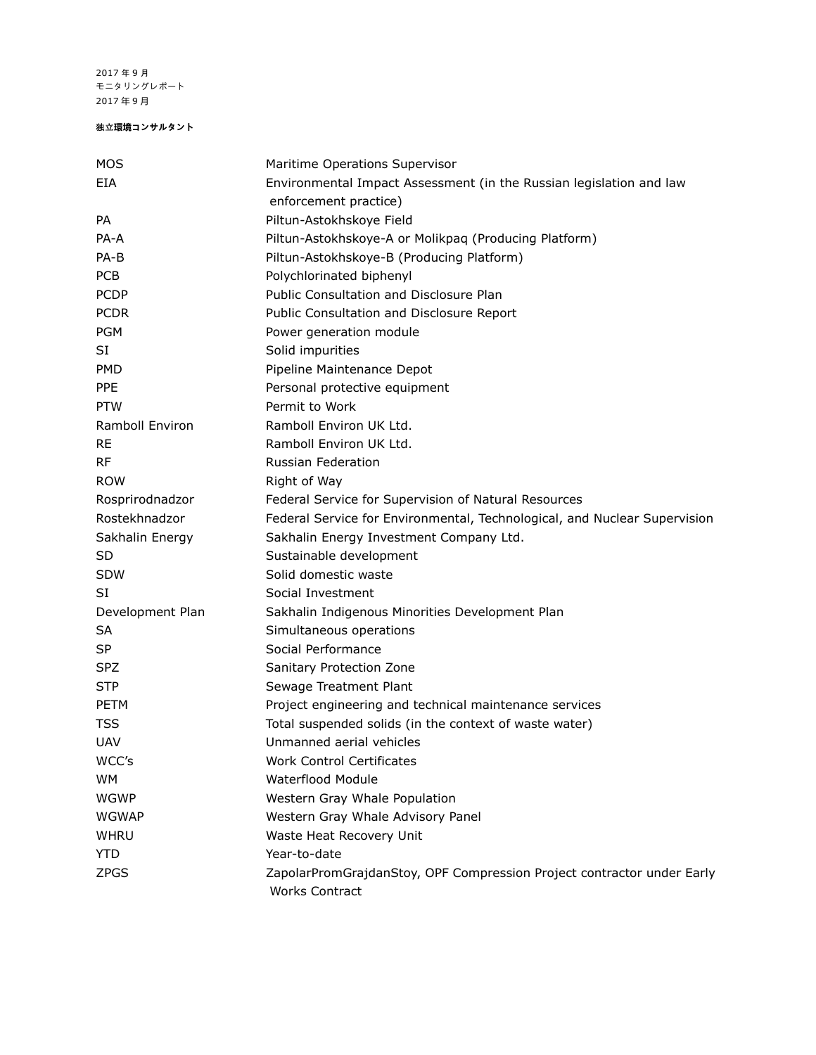#### 独立**環境コンサルタント**

| MOS              | Maritime Operations Supervisor                                                           |  |  |
|------------------|------------------------------------------------------------------------------------------|--|--|
| EIA              | Environmental Impact Assessment (in the Russian legislation and law                      |  |  |
|                  | enforcement practice)                                                                    |  |  |
| PA               | Piltun-Astokhskoye Field                                                                 |  |  |
| PA-A             | Piltun-Astokhskoye-A or Molikpaq (Producing Platform)                                    |  |  |
| PA-B             | Piltun-Astokhskoye-B (Producing Platform)                                                |  |  |
| <b>PCB</b>       | Polychlorinated biphenyl                                                                 |  |  |
| <b>PCDP</b>      | Public Consultation and Disclosure Plan                                                  |  |  |
| <b>PCDR</b>      | Public Consultation and Disclosure Report                                                |  |  |
| <b>PGM</b>       | Power generation module                                                                  |  |  |
| SI               | Solid impurities                                                                         |  |  |
| <b>PMD</b>       | Pipeline Maintenance Depot                                                               |  |  |
| PPE              | Personal protective equipment                                                            |  |  |
| <b>PTW</b>       | Permit to Work                                                                           |  |  |
| Ramboll Environ  | Ramboll Environ UK Ltd.                                                                  |  |  |
| RE               | Ramboll Environ UK Ltd.                                                                  |  |  |
| RF               | Russian Federation                                                                       |  |  |
| <b>ROW</b>       | Right of Way                                                                             |  |  |
| Rosprirodnadzor  | Federal Service for Supervision of Natural Resources                                     |  |  |
| Rostekhnadzor    | Federal Service for Environmental, Technological, and Nuclear Supervision                |  |  |
| Sakhalin Energy  | Sakhalin Energy Investment Company Ltd.                                                  |  |  |
| SD               | Sustainable development                                                                  |  |  |
| <b>SDW</b>       | Solid domestic waste                                                                     |  |  |
| SI               | Social Investment                                                                        |  |  |
| Development Plan | Sakhalin Indigenous Minorities Development Plan                                          |  |  |
| SA               | Simultaneous operations                                                                  |  |  |
| SP               | Social Performance                                                                       |  |  |
| <b>SPZ</b>       | Sanitary Protection Zone                                                                 |  |  |
| <b>STP</b>       | Sewage Treatment Plant                                                                   |  |  |
| PETM             | Project engineering and technical maintenance services                                   |  |  |
| TSS              | Total suspended solids (in the context of waste water)                                   |  |  |
| <b>UAV</b>       | Unmanned aerial vehicles                                                                 |  |  |
| WCC's            | <b>Work Control Certificates</b>                                                         |  |  |
| <b>WM</b>        | <b>Waterflood Module</b>                                                                 |  |  |
| <b>WGWP</b>      | Western Gray Whale Population                                                            |  |  |
| <b>WGWAP</b>     | Western Gray Whale Advisory Panel                                                        |  |  |
| WHRU             | Waste Heat Recovery Unit                                                                 |  |  |
| <b>YTD</b>       | Year-to-date                                                                             |  |  |
| ZPGS             | ZapolarPromGrajdanStoy, OPF Compression Project contractor under Early<br>Works Contract |  |  |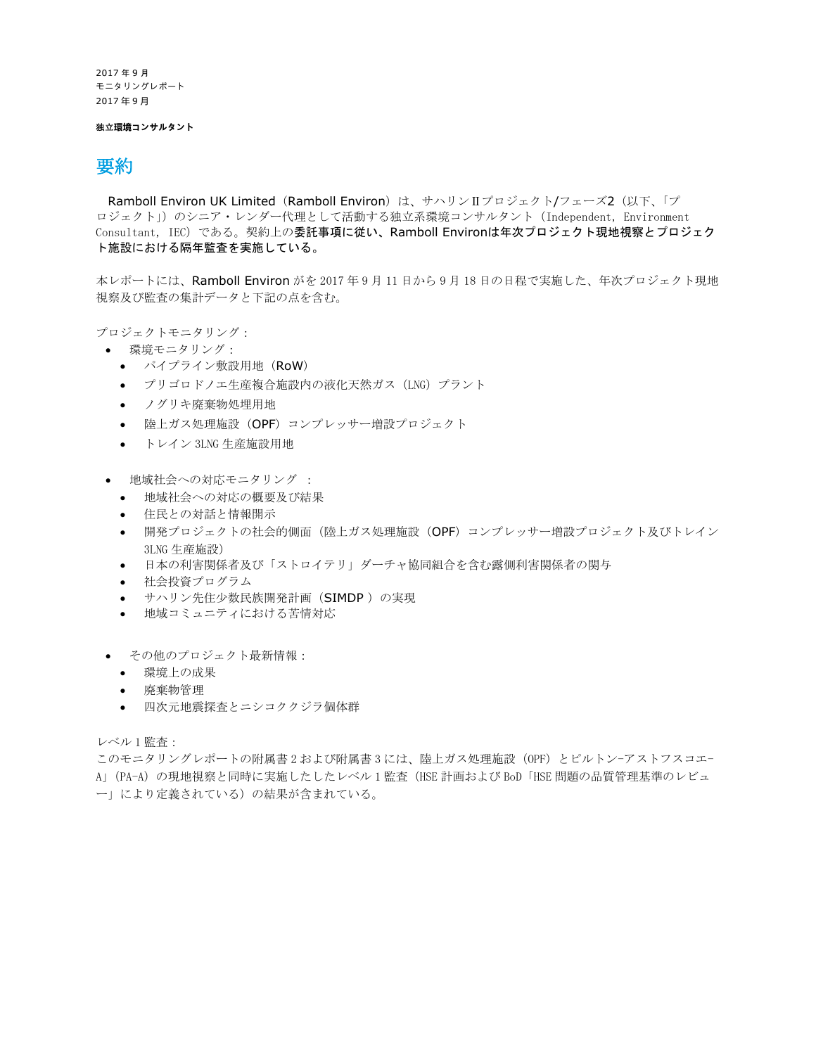#### 独立**環境コンサルタント**

### 要約

Ramboll Environ UK Limited (Ramboll Environ) は、サハリンⅡプロジェクト/フェーズ2 (以下、「プ ロジェクト」)のシニア・レンダー代理として活動する独立系環境コンサルタント(Independent, Environment Consultant, IEC)である。契約上の委託事項に従い、Ramboll Environは年次プロジェクト現地視察とプロジェク ト施設における隔年監査を実施している。

本レポートには、Ramboll Environ がを 2017 年 9 月 11 日から 9 月 18 日の日程で実施した、年次プロジェクト現地 視察及び監査の集計データと下記の点を含む。

プロジェクトモニタリング:

- 環境モニタリング:
	- パイプライン敷設用地(RoW)
	- プリゴロドノエ生産複合施設内の液化天然ガス(LNG)プラント
	- ノグリキ廃棄物処埋用地
	- 陸上ガス処理施設(OPF)コンプレッサー増設プロジェクト
	- トレイン 3LNG 生産施設用地
- 地域社会への対応モニタリング :
	- 地域社会への対応の概要及び結果
	- 住民との対話と情報開示
	- 開発プロジェクトの社会的側面(陸上ガス処理施設(OPF)コンプレッサー増設プロジェクト及びトレイン 3LNG 生産施設)
	- 日本の利害関係者及び「ストロイテリ」ダーチャ協同組合を含む露側利害関係者の関与
	- 社会投資プログラム
	- サハリン先住少数民族開発計画(SIMDP )の実現
	- 地域コミュニティにおける苦情対応
- その他のプロジェクト最新情報:
	- 環境上の成果
	- 廃棄物管理
	- 四次元地震探査とニシコククジラ個体群

レベル 1 監査:

このモニタリングレポートの附属書 2 および附属書 3 には、陸上ガス処理施設 (OPF) とピルトン-アストフスコエ-A」(PA-A)の現地視察と同時に実施したしたレベル 1 監査(HSE 計画および BoD「HSE 問題の品質管理基準のレビュ ー」により定義されている)の結果が含まれている。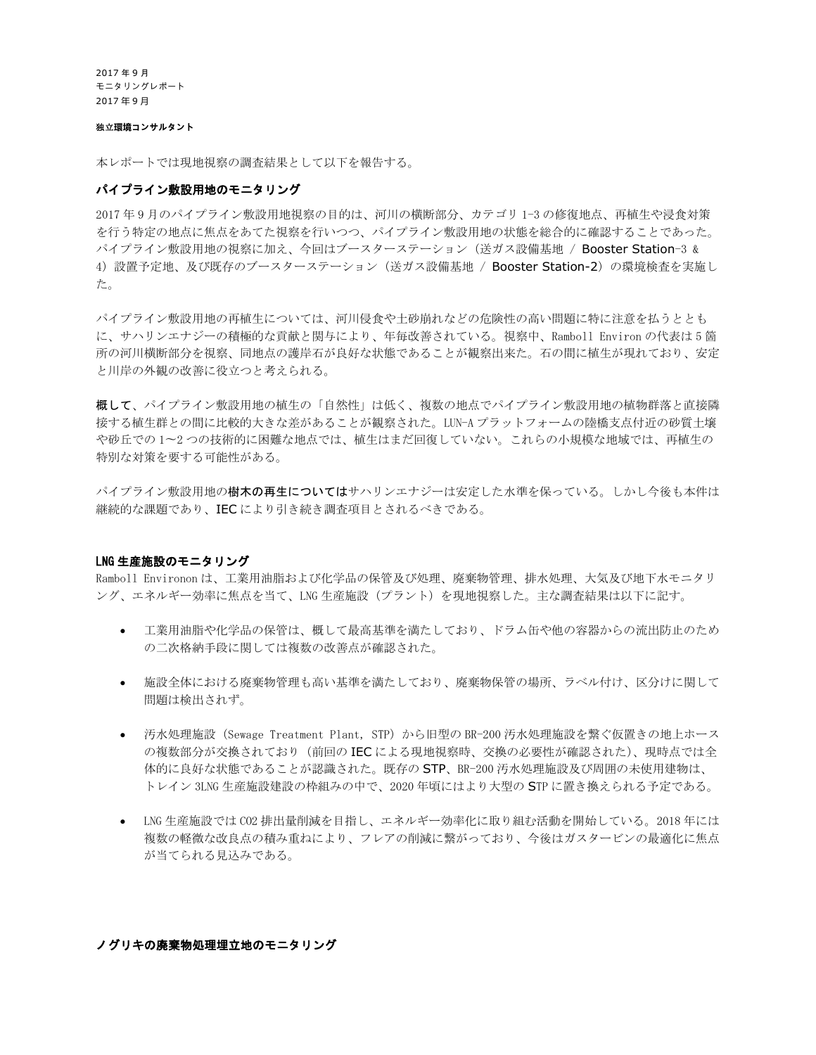#### 独立**環境コンサルタント**

本レポートでは現地視察の調査結果として以下を報告する。

#### パイプライン敷設用地のモニタリング

2017 年 9 月のパイプライン敷設用地視察の目的は、河川の横断部分、カテゴリ 1-3 の修復地点、再植生や浸食対策 を行う特定の地点に焦点をあてた視察を行いつつ、パイプライン敷設用地の状態を総合的に確認することであった。  $\mathcal{M}$ イプライン敷設用地の視察に加え、今回はブースターステーション(送ガス設備基地 / Booster Station-3 & 4)設置予定地、及び既存のブースターステーション(送ガス設備基地 / Booster Station-2)の環境検査を実施し た。

パイプライン敷設用地の再植生については、河川侵食や土砂崩れなどの危険性の高い問題に特に注意を払うととも に、サハリンエナジーの積極的な貢献と関与により、年毎改善されている。視察中、Ramboll Environ の代表は 5 箇 所の河川横断部分を視察、同地点の護岸石が良好な状態であることが観察出来た。石の間に植生が現れており、安定 と川岸の外観の改善に役立つと考えられる。

概して、パイプライン敷設用地の植生の「自然性」は低く、複数の地点でパイプライン敷設用地の植物群落と直接隣 接する植生群との間に比較的大きな差があることが観察された。LUN-A プラットフォームの陸橋支点付近の砂質土壌 や砂丘での 1〜2 つの技術的に困難な地点では、植生はまだ回復していない。これらの小規模な地域では、再植生の 特別な対策を要する可能性がある。

パイプライン敷設用地の樹**木の再生については**サハリンエナジーは安定した水準を保っている。しかし今後も本件は 継続的な課題であり、IEC により引き続き調査項目とされるべきである。

#### LNG 生産施設のモニタリング

Ramboll Environon は、工業用油脂および化学品の保管及び処理、廃棄物管理、排水処理、大気及び地下水モニタリ ング、エネルギー効率に焦点を当て、LNG 生産施設(プラント)を現地視察した。主な調査結果は以下に記す。

- 工業用油脂や化学品の保管は、概して最高基準を満たしており、ドラム缶や他の容器からの流出防止のため の二次格納手段に関しては複数の改善点が確認された。
- 施設全体における廃棄物管理も高い基準を満たしており、廃棄物保管の場所、ラベル付け、区分けに関して 問題は検出されず。
- 汚水処理施設(Sewage Treatment Plant, STP)から旧型の BR-200 汚水処理施設を繋ぐ仮置きの地上ホース の複数部分が交換されており(前回の IEC による現地視察時、交換の必要性が確認された)、現時点では全 体的に良好な状態であることが認識された。既存の STP、BR-200 汚水処理施設及び周囲の未使用建物は、 トレイン 3LNG 生産施設建設の枠組みの中で、2020 年頃にはより大型の STP に置き換えられる予定である。
- LNG 生産施設では CO2 排出量削減を目指し、エネルギー効率化に取り組む活動を開始している。2018 年には 複数の軽微な改良点の積み重ねにより、フレアの削減に繋がっており、今後はガスタービンの最適化に焦点 が当てられる見込みである。

#### ノグリキの廃棄物処理埋立地のモニタリング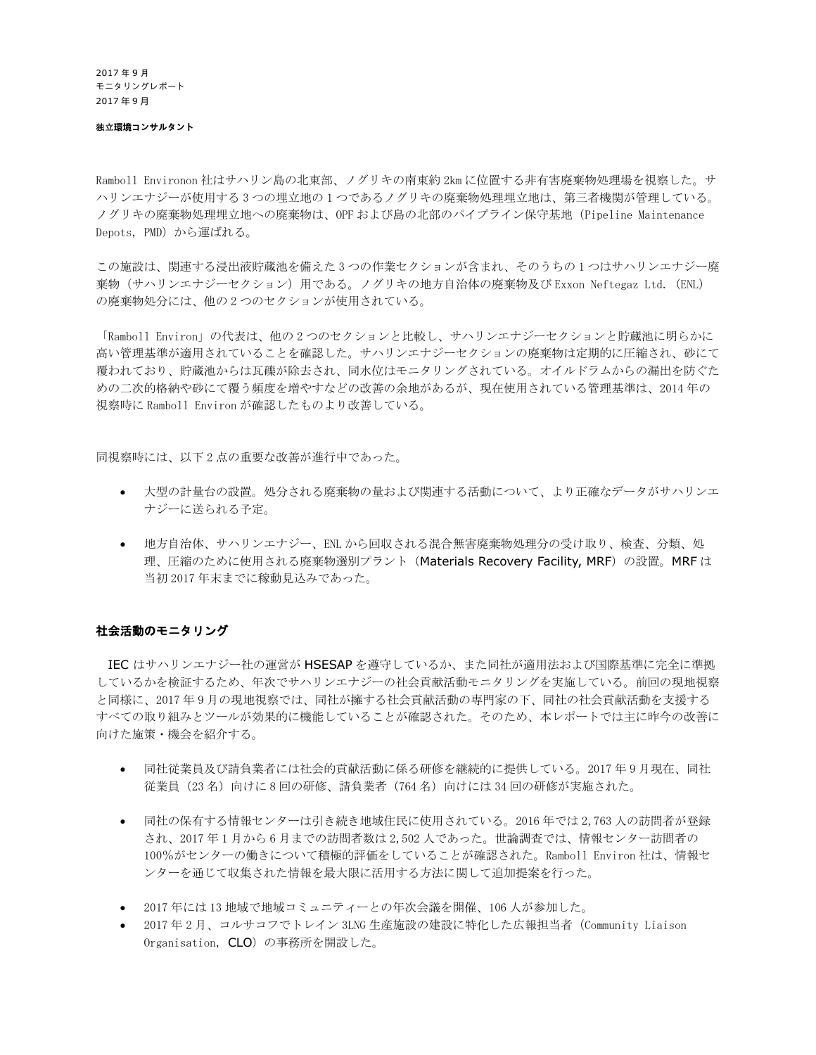#### 独立**環境コンサルタント**

Ramboll Environon 社はサハリン島の北東部、ノグリキの南東約 2km に位置する非有害廃棄物処理場を視察した。サ ハリンエナジーが使用する 3 つの埋立地の 1 つであるノグリキの廃棄物処理埋立地は、第三者機関が管理している。 ノグリキの廃棄物処理埋立地への廃棄物は、OPF および島の北部のパイプライン保守基地(Pipeline Maintenance Depots, PMD)から運ばれる。

この施設は、関連する浸出液貯蔵池を備えた 3 つの作業セクションが含まれ、そのうちの 1 つはサハリンエナジー廃 棄物(サハリンエナジーセクション)用である。ノグリキの地方自治体の廃棄物及び Exxon Neftegaz Ltd. (ENL) の廃棄物処分には、他の 2 つのセクションが使用されている。

「Ramboll Environ」の代表は、他の 2 つのセクションと比較し、サハリンエナジーセクションと貯蔵池に明らかに 高い管理基準が適用されていることを確認した。サハリンエナジーセクションの廃棄物は定期的に圧縮され、砂にて 覆われており、貯蔵池からは瓦礫が除去され、同水位はモニタリングされている。オイルドラムからの漏出を防ぐた めの二次的格納や砂にて覆う頻度を増やすなどの改善の余地があるが、現在使用されている管理基準は、2014 年の 視察時に Ramboll Environ が確認したものより改善している。

同視察時には、以下 2 点の重要な改善が進行中であった。

- 大型の計量台の設置。処分される廃棄物の量および関連する活動について、より正確なデータがサハリンエ ナジーに送られる予定。
- 地方自治体、サハリンエナジー、ENL から回収される混合無害廃棄物処理分の受け取り、検査、分類、処 理、圧縮のために使用される廃棄物選別プラント (Materials Recovery Facility, MRF) の設置。MRF は 当初 2017 年末までに稼動見込みであった。

#### 社会活動のモニタリング

IEC はサハリンエナジー社の運営が HSESAP を遵守しているか、また同社が適用法および国際基準に完全に準拠 しているかを検証するため、年次でサハリンエナジーの社会貢献活動モニタリングを実施している。前回の現地視察 と同様に、2017 年 9 月の現地視察では、同社が擁する社会貢献活動の専門家の下、同社の社会貢献活動を支援する すべての取り組みとツールが効果的に機能していることが確認された。そのため、本レポートでは主に昨今の改善に 向けた施策・機会を紹介する。

- 同社従業員及び請負業者には社会的貢献活動に係る研修を継続的に提供している。2017 年 9 月現在、同社 従業員(23 名)向けに 8 回の研修、請負業者(764 名)向けには 34 回の研修が実施された。
- 同社の保有する情報センターは引き続き地域住民に使用されている。2016 年では 2,763 人の訪問者が登録 され、2017 年 1 月から 6 月までの訪問者数は 2,502 人であった。世論調査では、情報センター訪問者の 100%がセンターの働きについて積極的評価をしていることが確認された。Ramboll Environ 社は、情報セ ンターを通じて収集された情報を最大限に活用する方法に関して追加提案を行った。
- 2017 年には 13 地域で地域コミュニティーとの年次会議を開催、106 人が参加した。
- 2017 年 2 月、コルサコフでトレイン 3LNG 生産施設の建設に特化した広報担当者(Community Liaison Organisation, CLO)の事務所を開設した。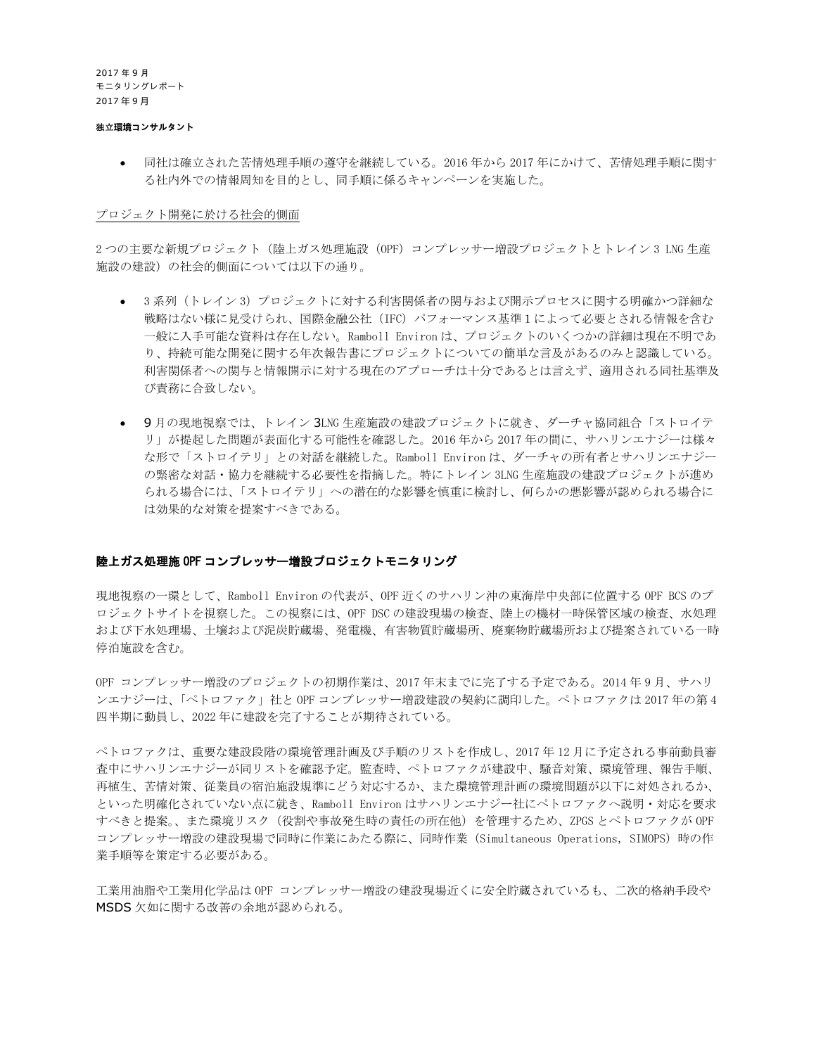#### 独立**環境コンサルタント**

• 同社は確立された苦情処理手順の遵守を継続している。2016 年から 2017 年にかけて、苦情処理手順に関す る社内外での情報周知を目的とし、同手順に係るキャンペーンを実施した。

#### プロジェクト開発に於ける社会的側面

2つの主要な新規プロジェクト (陸上ガス処理施設 (OPF) コンプレッサー増設プロジェクトとトレイン 3 LNG 生産 施設の建設)の社会的側面については以下の通り。

- 3系列 (トレイン 3) プロジェクトに対する利害関係者の関与および開示プロセスに関する明確かつ詳細な 戦略はない様に見受けられ、国際金融公社(IFC)パフォーマンス基準1によって必要とされる情報を含む 一般に入手可能な資料は存在しない。Ramboll Environ は、プロジェクトのいくつかの詳細は現在不明であ り、持続可能な開発に関する年次報告書にプロジェクトについての簡単な言及があるのみと認識している。 利害関係者への関与と情報開示に対する現在のアプローチは十分であるとは言えず、適用される同社基準及 び責務に合致しない。
- 9月の現地視察では、トレイン 3LNG 生産施設の建設プロジェクトに就き、ダーチャ協同組合「ストロイテ リ」が提起した問題が表面化する可能性を確認した。2016 年から 2017 年の間に、サハリンエナジーは様々 な形で「ストロイテリ」との対話を継続した。Ramboll Environ は、ダーチャの所有者とサハリンエナジー の緊密な対話・協力を継続する必要性を指摘した。特にトレイン 3LNG 生産施設の建設プロジェクトが進め られる場合には、「ストロイテリ」への潜在的な影響を慎重に検討し、何らかの悪影響が認められる場合に は効果的な対策を提案すべきである。

#### 陸上ガス処理施 OPF コンプレッサー増設プロジェクトモニタリング

現地視察の一環として、Ramboll Environ の代表が、OPF 近くのサハリン沖の東海岸中央部に位置する OPF BCS のプ ロジェクトサイトを視察した。この視察には、OPF DSC の建設現場の検査、陸上の機材一時保管区域の検査、水処理 および下水処理場、土壌および泥炭貯蔵場、発電機、有害物質貯蔵場所、廃棄物貯蔵場所および提案されている一時 停泊施設を含む。

OPF コンプレッサー増設のプロジェクトの初期作業は、2017 年末までに完了する予定である。2014 年 9 月、サハリ ンエナジーは、「ペトロファク」社と OPF コンプレッサー増設建設の契約に調印した。ペトロファクは 2017 年の第 4 四半期に動員し、2022 年に建設を完了することが期待されている。

ペトロファクは、重要な建設段階の環境管理計画及び手順のリストを作成し、2017 年 12 月に予定される事前動員審 査中にサハリンエナジーが同リストを確認予定。監査時、ペトロファクが建設中、騒音対策、環境管理、報告手順、 再植生、苦情対策、従業員の宿泊施設規準にどう対応するか、また環境管理計画の環境問題が以下に対処されるか、 といった明確化されていない点に就き、Ramboll Environ はサハリンエナジー社にペトロファクへ説明・対応を要求 すべきと提案。、また環境リスク(役割や事故発生時の責任の所在他)を管理するため、ZPGS とペトロファクが OPF コンプレッサー増設の建設現場で同時に作業にあたる際に、同時作業 (Simultaneous Operations, SIMOPS) 時の作 業手順等を策定する必要がある。

工業用油脂や工業用化学品は OPF コンプレッサー増設の建設現場近くに安全貯蔵されているも、二次的格納手段や MSDS 欠如に関する改善の余地が認められる。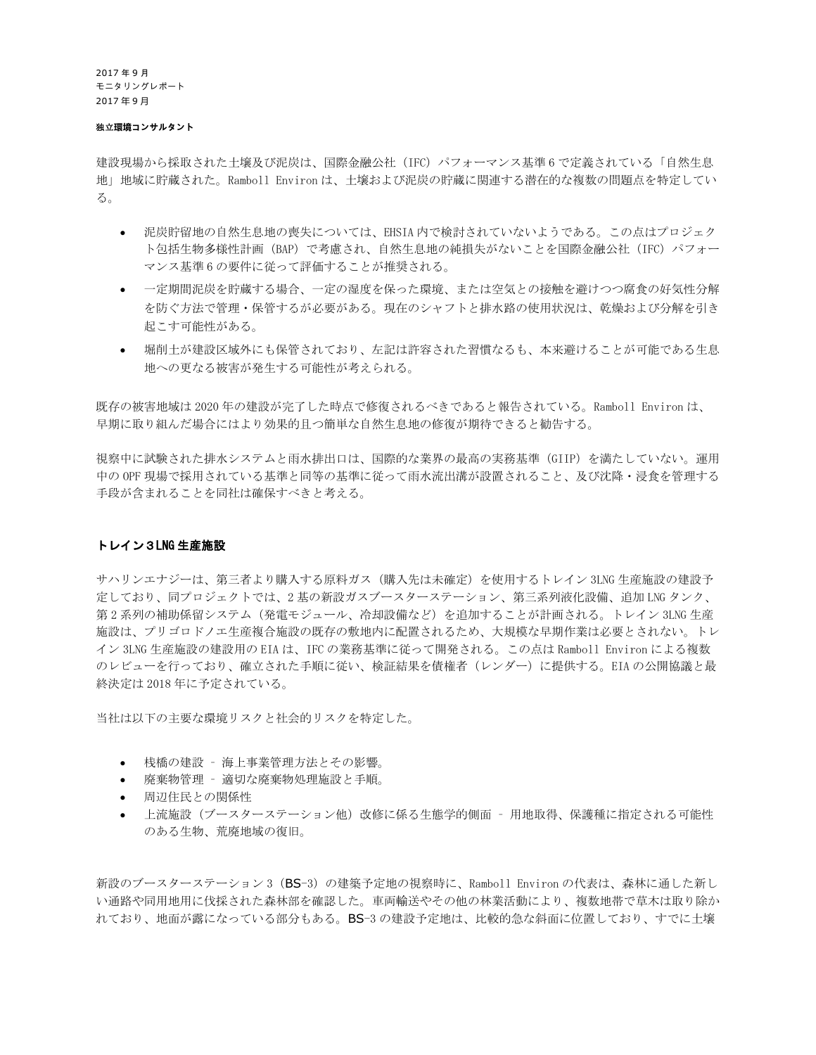#### 独立**環境コンサルタント**

建設現場から採取された土壌及び泥炭は、国際金融公社 (IFC) パフォーマンス基準 6 で定義されている「自然生息 地」地域に貯蔵された。Ramboll Environ は、土壌および泥炭の貯蔵に関連する潜在的な複数の問題点を特定してい る。

- 泥炭貯留地の自然生息地の喪失については、EHSIA 内で検討されていないようである。この点はプロジェク ト包括生物多様性計画 (BAP) で考慮され、自然生息地の純損失がないことを国際金融公社 (IFC) パフォー マンス基準 6 の要件に従って評価することが推奨される。
- 一定期間泥炭を貯蔵する場合、一定の湿度を保った環境、または空気との接触を避けつつ腐食の好気性分解 を防ぐ方法で管理・保管するが必要がある。現在のシャフトと排水路の使用状況は、乾燥および分解を引き 起こす可能性がある。
- 堀削土が建設区域外にも保管されており、左記は許容された習慣なるも、本来避けることが可能である生息 地への更なる被害が発生する可能性が考えられる。

既存の被害地域は 2020 年の建設が完了した時点で修復されるべきであると報告されている。Ramboll Environ は、 早期に取り組んだ場合にはより効果的且つ簡単な自然生息地の修復が期待できると勧告する。

視察中に試験された排水システムと雨水排出口は、国際的な業界の最高の実務基準(GIIP)を満たしていない。運用 中の OPF 現場で採用されている基準と同等の基準に従って雨水流出溝が設置されること、及び沈降・浸食を管理する 手段が含まれることを同社は確保すべきと考える。

#### トレイン3LNG 生産施設

サハリンエナジーは、第三者より購入する原料ガス(購入先は未確定)を使用するトレイン 3LNG 生産施設の建設予 定しており、同プロジェクトでは、2 基の新設ガスブースターステーション、第三系列液化設備、追加 LNG タンク、 第2系列の補助係留システム(発電モジュール、冷却設備など)を追加することが計画される。トレイン 3LNG 生産 施設は、プリゴロドノエ生産複合施設の既存の敷地内に配置されるため、大規模な早期作業は必要とされない。トレ イン 3LNG 生産施設の建設用の EIA は、IFC の業務基準に従って開発される。この点は Ramboll Environ による複数 のレビューを行っており、確立された手順に従い、検証結果を債権者(レンダー)に提供する。EIA の公開協議と最 終決定は 2018 年に予定されている。

当社は以下の主要な環境リスクと社会的リスクを特定した。

- 桟橋の建設 海上事業管理方法とその影響。
- 廃棄物管理 適切な廃棄物処理施設と手順。
- 周辺住民との関係性
- 上流施設(ブースターステーション他)改修に係る生態学的側面 用地取得、保護種に指定される可能性 のある生物、荒廃地域の復旧。

新設のブースターステーション 3 (BS-3) の建築予定地の視察時に、Ramboll Environ の代表は、森林に通した新し い通路や同用地用に伐採された森林部を確認した。車両輸送やその他の林業活動により、複数地帯で草木は取り除か れており、地面が露になっている部分もある。BS-3 の建設予定地は、比較的急な斜面に位置しており、すでに土壌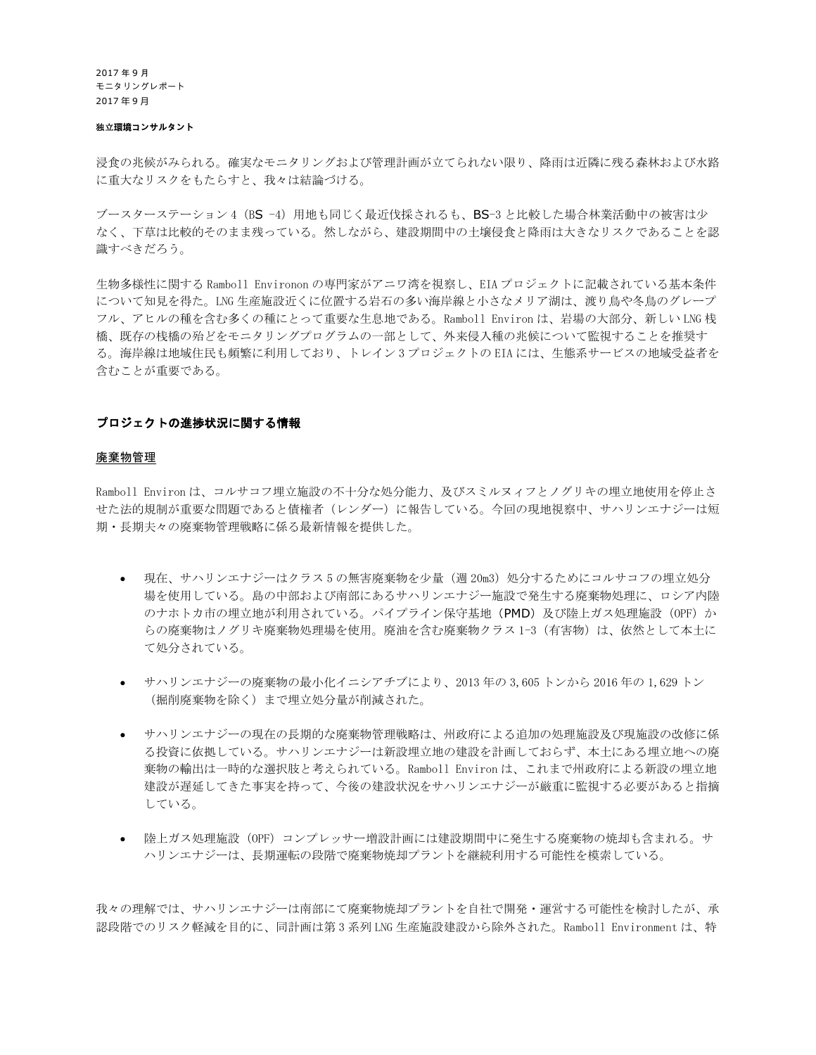#### 独立**環境コンサルタント**

浸食の兆候がみられる。確実なモニタリングおよび管理計画が立てられない限り、降雨は近隣に残る森林および水路 に重大なリスクをもたらすと、我々は結論づける。

ブースターステーション 4 (BS -4) 用地も同じく最近伐採されるも、BS-3 と比較した場合林業活動中の被害は少 なく、下草は比較的そのまま残っている。然しながら、建設期間中の土壌侵食と降雨は大きなリスクであることを認 識すべきだろう。

生物多様性に関する Ramboll Environon の専門家がアニワ湾を視察し、EIA プロジェクトに記載されている基本条件 について知見を得た。LNG 生産施設近くに位置する岩石の多い海岸線と小さなメリア湖は、渡り鳥や冬鳥のグレープ フル、アヒルの種を含む多くの種にとって重要な生息地である。Ramboll Environ は、岩場の大部分、新しい LNG 桟 橋、既存の桟橋の殆どをモニタリングプログラムの一部として、外来侵入種の兆候について監視することを推奨す る。海岸線は地域住民も頻繁に利用しており、トレイン 3 プロジェクトの EIA には、生態系サービスの地域受益者を 含むことが重要である。

#### プロジェクトの進捗状況に関する情報

#### 廃棄物管理

Ramboll Environ は、コルサコフ埋立施設の不十分な処分能力、及びスミルヌィフとノグリキの埋立地使用を停止さ せた法的規制が重要な問題であると債権者(レンダー)に報告している。今回の現地視察中、サハリンエナジーは短 期・長期夫々の廃棄物管理戦略に係る最新情報を提供した。

- 現在、サハリンエナジーはクラス 5 の無害廃棄物を少量 (週 20m3) 処分するためにコルサコフの埋立処分 場を使用している。島の中部および南部にあるサハリンエナジー施設で発生する廃棄物処理に、ロシア内陸 のナホトカ市の埋立地が利用されている。パイプライン保守基地 (PMD) 及び陸上ガス処理施設 (OPF) か らの廃棄物はノグリキ廃棄物処理場を使用。廃油を含む廃棄物クラス 1-3 (有害物)は、依然として本土に て処分されている。
- サハリンエナジーの廃棄物の最小化イニシアチブにより、2013 年の 3,605 トンから 2016 年の 1,629 トン (掘削廃棄物を除く)まで埋立処分量が削減された。
- サハリンエナジーの現在の長期的な廃棄物管理戦略は、州政府による追加の処理施設及び現施設の改修に係 る投資に依拠している。サハリンエナジーは新設埋立地の建設を計画しておらず、本土にある埋立地への廃 棄物の輸出は一時的な選択肢と考えられている。Ramboll Environ は、これまで州政府による新設の埋立地 建設が遅延してきた事実を持って、今後の建設状況をサハリンエナジーが厳重に監視する必要があると指摘 している。
- 陸上ガス処理施設(OPF)コンプレッサー増設計画には建設期間中に発生する廃棄物の焼却も含まれる。サ ハリンエナジーは、長期運転の段階で廃棄物焼却プラントを継続利用する可能性を模索している。

我々の理解では、サハリンエナジーは南部にて廃棄物焼却プラントを自社で開発・運営する可能性を検討したが、承 認段階でのリスク軽減を目的に、同計画は第 3 系列 LNG 生産施設建設から除外された。Ramboll Environment は、特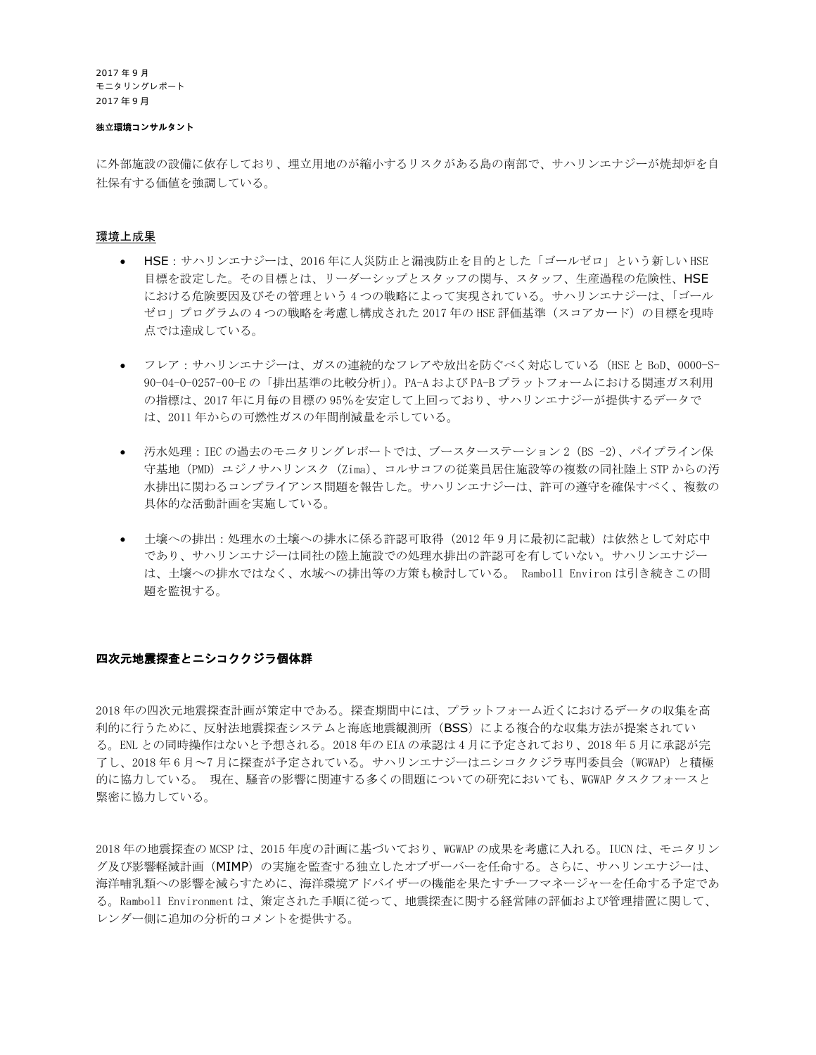#### 独立**環境コンサルタント**

に外部施設の設備に依存しており、埋立用地のが縮小するリスクがある島の南部で、サハリンエナジーが焼却炉を自 社保有する価値を強調している。

#### 環境上成果

- HSE: サハリンエナジーは、2016年に人災防止と漏洩防止を目的とした「ゴールゼロ」という新しい HSE 目標を設定した。その目標とは、リーダーシップとスタッフの関与、スタッフ、生産過程の危険性、HSE における危険要因及びその管理という 4 つの戦略によって実現されている。サハリンエナジーは、「ゴール ゼロ」プログラムの4つの戦略を考慮し構成された 2017 年の HSE 評価基準(スコアカード)の目標を現時 点では達成している。
- フレア:サハリンエナジーは、ガスの連続的なフレアや放出を防ぐべく対応している(HSE と BoD、0000-S-90-04-O-0257-00-E の「排出基準の比較分析」)。PA-A および PA-B プラットフォームにおける関連ガス利用 の指標は、2017 年に月毎の目標の 95%を安定して上回っており、サハリンエナジーが提供するデータで は、2011 年からの可燃性ガスの年間削減量を示している。
- 汚水処理:IEC の過去のモニタリングレポートでは、ブースターステーション 2(BS -2)、パイプライン保 守基地(PMD)ユジノサハリンスク(Zima)、コルサコフの従業員居住施設等の複数の同社陸上 STP からの汚 水排出に関わるコンプライアンス問題を報告した。サハリンエナジーは、許可の遵守を確保すべく、複数の 具体的な活動計画を実施している。
- 土壌への排出:処理水の土壌への排水に係る許認可取得(2012年9月に最初に記載)は依然として対応中 であり、サハリンエナジーは同社の陸上施設での処理水排出の許認可を有していない。サハリンエナジー は、土壌への排水ではなく、水域への排出等の方策も検討している。 Ramboll Environ は引き続きこの問 題を監視する。

#### 四次元地震探査とニシコククジラ個体群

2018 年の四次元地震探査計画が策定中である。探査期間中には、プラットフォーム近くにおけるデータの収集を高 利的に行うために、反射法地震探査システムと海底地震観測所(BSS)による複合的な収集方法が提案されてい る。ENL との同時操作はないと予想される。2018 年の EIA の承認は 4 月に予定されており、2018 年 5 月に承認が完 了し、2018 年 6 月~7 月に探査が予定されている。サハリンエナジーはニシコククジラ専門委員会(WGWAP)と積極 的に協力している。 現在、騒音の影響に関連する多くの問題についての研究においても、WGWAP タスクフォースと 緊密に協力している。

2018 年の地震探査の MCSP は、2015 年度の計画に基づいており、WGWAP の成果を考慮に入れる。IUCN は、モニタリン グ及び影響軽減計画(MIMP)の実施を監査する独立したオブザーバーを任命する。さらに、サハリンエナジーは、 海洋哺乳類への影響を減らすために、海洋環境アドバイザーの機能を果たすチーフマネージャーを任命する予定であ る。Ramboll Environment は、策定された手順に従って、地震探査に関する経営陣の評価および管理措置に関して、 レンダー側に追加の分析的コメントを提供する。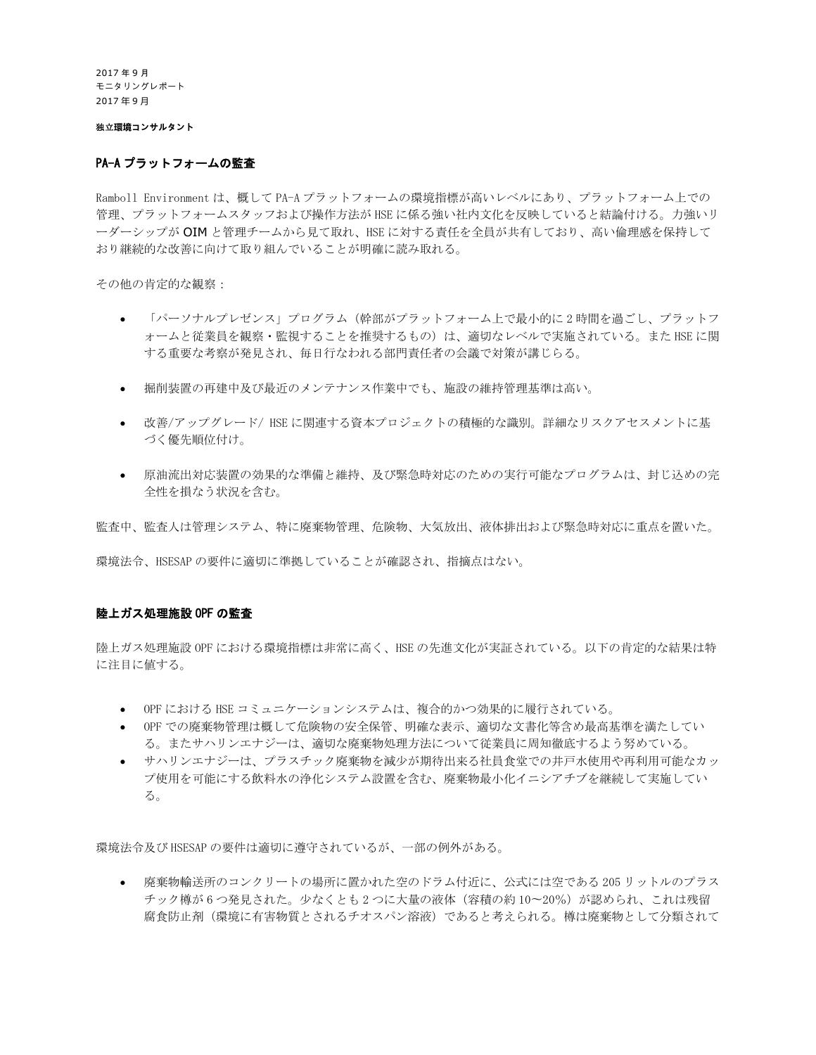独立**環境コンサルタント**

#### PA-A プラットフォームの監査

Ramboll Environment は、概して PA-A プラットフォームの環境指標が高いレベルにあり、プラットフォーム上での 管理、プラットフォームスタッフおよび操作方法が HSE に係る強い社内文化を反映していると結論付ける。力強いリ ーダーシップが OIM と管理チームから見て取れ、HSE に対する責任を全員が共有しており、高い倫理感を保持して おり継続的な改善に向けて取り組んでいることが明確に読み取れる。

その他の肯定的な観察:

- ○「パーソナルプレゼンス」プログラム(幹部がプラットフォーム上で最小的に 2 時間を過ごし、プラットフ ォームと従業員を観察・監視することを推奨するもの)は、適切なレベルで実施されている。また HSE に関 する重要な考察が発見され、毎日行なわれる部門責任者の会議で対策が講じらる。
- 掘削装置の再建中及び最近のメンテナンス作業中でも、施設の維持管理基準は高い。
- 改善/アップグレード/ HSE に関連する資本プロジェクトの積極的な識別。詳細なリスクアセスメントに基 づく優先順位付け。
- 原油流出対応装置の効果的な準備と維持、及び緊急時対応のための実行可能なプログラムは、封じ込めの完 全性を損なう状況を含む。

監査中、監査人は管理システム、特に廃棄物管理、危険物、大気放出、液体排出および緊急時対応に重点を置いた。

環境法令、HSESAP の要件に適切に準拠していることが確認され、指摘点はない。

#### 陸上ガス処理施設 OPF の監査

陸上ガス処理施設 OPF における環境指標は非常に高く、HSE の先進文化が実証されている。以下の肯定的な結果は特 に注目に値する。

- OPF における HSE コミュニケーションシステムは、複合的かつ効果的に履行されている。
- OPF での廃棄物管理は概して危険物の安全保管、明確な表示、適切な文書化等含め最高基準を満たしてい る。またサハリンエナジーは、適切な廃棄物処理方法について従業員に周知徹底するよう努めている。
- サハリンエナジーは、プラスチック廃棄物を減少が期待出来る社員食堂での井戸水使用や再利用可能なカッ プ使用を可能にする飲料水の浄化システム設置を含む、廃棄物最小化イニシアチブを継続して実施してい る。

環境法令及び HSESAP の要件は適切に遵守されているが、一部の例外がある。

• 廃棄物輸送所のコンクリートの場所に置かれた空のドラム付近に、公式には空である 205 リットルのプラス チック樽が 6 つ発見された。少なくとも2つに大量の液体(容積の約 10~20%)が認められ、これは残留 腐食防止剤(環境に有害物質とされるチオスパン溶液)であると考えられる。樽は廃棄物として分類されて